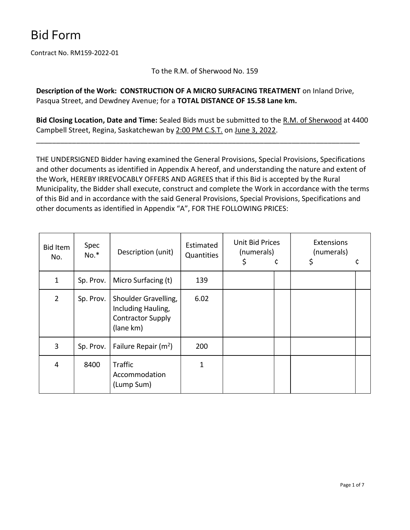Contract No. RM159-2022-01

To the R.M. of Sherwood No. 159

Description of the Work: CONSTRUCTION OF A MICRO SURFACING TREATMENT on Inland Drive, Pasqua Street, and Dewdney Avenue; for a TOTAL DISTANCE OF 15.58 Lane km.

Bid Closing Location, Date and Time: Sealed Bids must be submitted to the R.M. of Sherwood at 4400 Campbell Street, Regina, Saskatchewan by 2:00 PM C.S.T. on June 3, 2022.

\_\_\_\_\_\_\_\_\_\_\_\_\_\_\_\_\_\_\_\_\_\_\_\_\_\_\_\_\_\_\_\_\_\_\_\_\_\_\_\_\_\_\_\_\_\_\_\_\_\_\_\_\_\_\_\_\_\_\_\_\_\_\_\_\_\_\_\_\_\_\_\_\_\_\_\_\_\_\_\_\_

THE UNDERSIGNED Bidder having examined the General Provisions, Special Provisions, Specifications and other documents as identified in Appendix A hereof, and understanding the nature and extent of the Work, HEREBY IRREVOCABLY OFFERS AND AGREES that if this Bid is accepted by the Rural Municipality, the Bidder shall execute, construct and complete the Work in accordance with the terms of this Bid and in accordance with the said General Provisions, Special Provisions, Specifications and other documents as identified in Appendix "A", FOR THE FOLLOWING PRICES:

| Bid Item<br>No. | Spec<br>$No.*$ | Description (unit)                                                                  | Estimated<br>Quantities | Unit Bid Prices<br>(numerals)<br>\$ | ¢ | Extensions<br>(numerals)<br>\$ |  |
|-----------------|----------------|-------------------------------------------------------------------------------------|-------------------------|-------------------------------------|---|--------------------------------|--|
| $\mathbf{1}$    | Sp. Prov.      | Micro Surfacing (t)                                                                 | 139                     |                                     |   |                                |  |
| $\overline{2}$  | Sp. Prov.      | Shoulder Gravelling,<br>Including Hauling,<br><b>Contractor Supply</b><br>(lane km) | 6.02                    |                                     |   |                                |  |
| 3               | Sp. Prov.      | Failure Repair $(m^2)$                                                              | 200                     |                                     |   |                                |  |
| 4               | 8400           | <b>Traffic</b><br>Accommodation<br>(Lump Sum)                                       | 1                       |                                     |   |                                |  |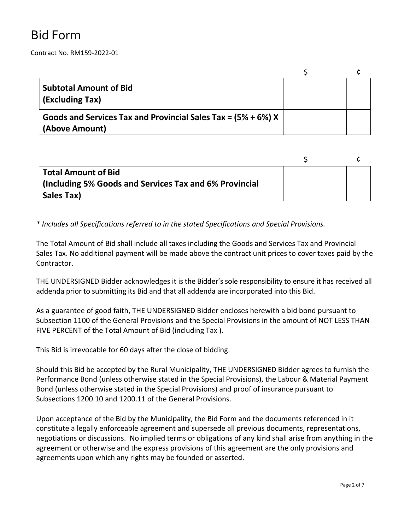Contract No. RM159-2022-01

| <b>Subtotal Amount of Bid</b><br>(Excluding Tax)                                  |  |
|-----------------------------------------------------------------------------------|--|
| Goods and Services Tax and Provincial Sales Tax = $(5% + 6%)$ X<br>(Above Amount) |  |

| Total Amount of Bid                                    |  |
|--------------------------------------------------------|--|
| (Including 5% Goods and Services Tax and 6% Provincial |  |
| Sales Tax)                                             |  |

\* Includes all Specifications referred to in the stated Specifications and Special Provisions.

The Total Amount of Bid shall include all taxes including the Goods and Services Tax and Provincial Sales Tax. No additional payment will be made above the contract unit prices to cover taxes paid by the Contractor.

THE UNDERSIGNED Bidder acknowledges it is the Bidder's sole responsibility to ensure it has received all addenda prior to submitting its Bid and that all addenda are incorporated into this Bid.

As a guarantee of good faith, THE UNDERSIGNED Bidder encloses herewith a bid bond pursuant to Subsection 1100 of the General Provisions and the Special Provisions in the amount of NOT LESS THAN FIVE PERCENT of the Total Amount of Bid (including Tax ).

This Bid is irrevocable for 60 days after the close of bidding.

Should this Bid be accepted by the Rural Municipality, THE UNDERSIGNED Bidder agrees to furnish the Performance Bond (unless otherwise stated in the Special Provisions), the Labour & Material Payment Bond (unless otherwise stated in the Special Provisions) and proof of insurance pursuant to Subsections 1200.10 and 1200.11 of the General Provisions.

Upon acceptance of the Bid by the Municipality, the Bid Form and the documents referenced in it constitute a legally enforceable agreement and supersede all previous documents, representations, negotiations or discussions. No implied terms or obligations of any kind shall arise from anything in the agreement or otherwise and the express provisions of this agreement are the only provisions and agreements upon which any rights may be founded or asserted.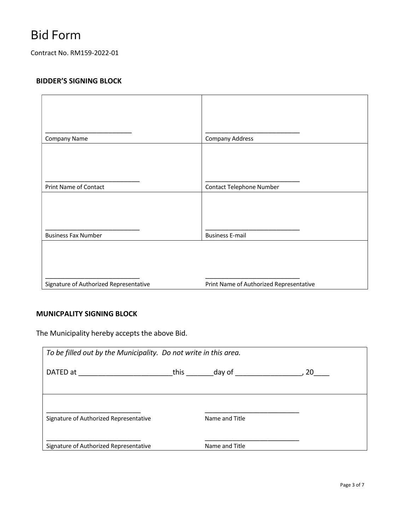Contract No. RM159-2022-01

### BIDDER'S SIGNING BLOCK

| Company Name                           | Company Address                         |
|----------------------------------------|-----------------------------------------|
|                                        |                                         |
| Print Name of Contact                  | Contact Telephone Number                |
|                                        |                                         |
| <b>Business Fax Number</b>             | <b>Business E-mail</b>                  |
|                                        |                                         |
| Signature of Authorized Representative | Print Name of Authorized Representative |

### MUNICPALITY SIGNING BLOCK

The Municipality hereby accepts the above Bid.

| To be filled out by the Municipality. Do not write in this area. |      |                |      |  |  |
|------------------------------------------------------------------|------|----------------|------|--|--|
| DATED at                                                         | this | day of         | 20 a |  |  |
|                                                                  |      |                |      |  |  |
|                                                                  |      |                |      |  |  |
| Signature of Authorized Representative                           |      | Name and Title |      |  |  |
|                                                                  |      |                |      |  |  |
| Signature of Authorized Representative                           |      | Name and Title |      |  |  |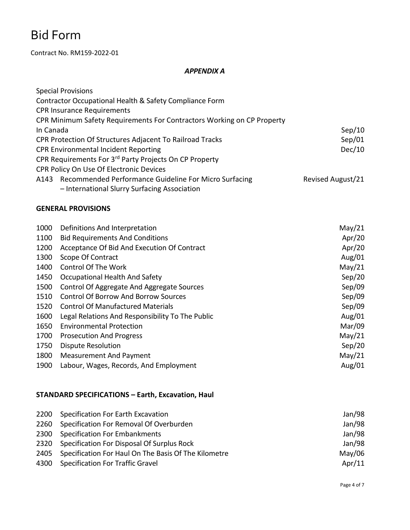Contract No. RM159-2022-01

#### APPENDIX A

| <b>Special Provisions</b>                                              |                   |
|------------------------------------------------------------------------|-------------------|
| Contractor Occupational Health & Safety Compliance Form                |                   |
| <b>CPR Insurance Requirements</b>                                      |                   |
| CPR Minimum Safety Requirements For Contractors Working on CP Property |                   |
| In Canada                                                              | Sep/10            |
| CPR Protection Of Structures Adjacent To Railroad Tracks               | Sep/01            |
| <b>CPR Environmental Incident Reporting</b>                            | Dec/10            |
| CPR Requirements For 3rd Party Projects On CP Property                 |                   |
| CPR Policy On Use Of Electronic Devices                                |                   |
| A143 Recommended Performance Guideline For Micro Surfacing             | Revised August/21 |
| - International Slurry Surfacing Association                           |                   |

#### GENERAL PROVISIONS

| 1000 | Definitions And Interpretation                   | May/21    |
|------|--------------------------------------------------|-----------|
| 1100 | <b>Bid Requirements And Conditions</b>           | Apr/20    |
| 1200 | Acceptance Of Bid And Execution Of Contract      | Apr/20    |
| 1300 | Scope Of Contract                                | Aug/01    |
| 1400 | <b>Control Of The Work</b>                       | May/21    |
| 1450 | Occupational Health And Safety                   | Sep/20    |
| 1500 | Control Of Aggregate And Aggregate Sources       | Sep/09    |
| 1510 | <b>Control Of Borrow And Borrow Sources</b>      | Sep/09    |
| 1520 | <b>Control Of Manufactured Materials</b>         | Sep/09    |
| 1600 | Legal Relations And Responsibility To The Public | Aug/ $01$ |
| 1650 | <b>Environmental Protection</b>                  | Mar/09    |
| 1700 | <b>Prosecution And Progress</b>                  | May/21    |
| 1750 | <b>Dispute Resolution</b>                        | Sep/20    |
| 1800 | <b>Measurement And Payment</b>                   | May/21    |
| 1900 | Labour, Wages, Records, And Employment           | Aug/ $01$ |

### STANDARD SPECIFICATIONS – Earth, Excavation, Haul

| 2200 Specification For Earth Excavation                   | Jan/98    |
|-----------------------------------------------------------|-----------|
| 2260 Specification For Removal Of Overburden              | Jan/98    |
| 2300 Specification For Embankments                        | Jan/98    |
| 2320 Specification For Disposal Of Surplus Rock           | Jan/98    |
| 2405 Specification For Haul On The Basis Of The Kilometre | May/06    |
| 4300 Specification For Traffic Gravel                     | Apr $/11$ |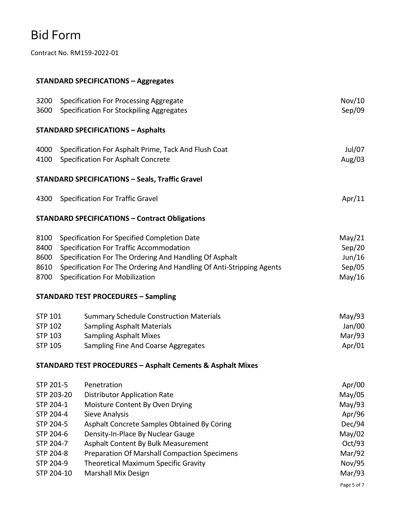Contract No. RM159-2022-01

### STANDARD SPECIFICATIONS – Aggregates

| 3200           | Specification For Processing Aggregate                                | Nov/10      |
|----------------|-----------------------------------------------------------------------|-------------|
| 3600           | <b>Specification For Stockpiling Aggregates</b>                       | Sep/09      |
|                | <b>STANDARD SPECIFICATIONS - Asphalts</b>                             |             |
| 4000           | Specification For Asphalt Prime, Tack And Flush Coat                  | Jul/07      |
| 4100           | Specification For Asphalt Concrete                                    | Aug/03      |
|                | <b>STANDARD SPECIFICATIONS - Seals, Traffic Gravel</b>                |             |
| 4300           | <b>Specification For Traffic Gravel</b>                               | Apr/11      |
|                | <b>STANDARD SPECIFICATIONS - Contract Obligations</b>                 |             |
| 8100           | Specification For Specified Completion Date                           | May/21      |
| 8400           | Specification For Traffic Accommodation                               | Sep/20      |
| 8600           | Specification For The Ordering And Handling Of Asphalt                | Jun/16      |
| 8610           | Specification For The Ordering And Handling Of Anti-Stripping Agents  | Sep/05      |
| 8700           | <b>Specification For Mobilization</b>                                 | May/16      |
|                | <b>STANDARD TEST PROCEDURES - Sampling</b>                            |             |
| <b>STP 101</b> | <b>Summary Schedule Construction Materials</b>                        | May/93      |
| <b>STP 102</b> | <b>Sampling Asphalt Materials</b>                                     | Jan/00      |
| <b>STP 103</b> | <b>Sampling Asphalt Mixes</b>                                         | Mar/93      |
| <b>STP 105</b> | Sampling Fine And Coarse Aggregates                                   | Apr/01      |
|                | <b>STANDARD TEST PROCEDURES - Asphalt Cements &amp; Asphalt Mixes</b> |             |
| STP 201-5      | Penetration                                                           | Apr/00      |
| STP 203-20     | <b>Distributor Application Rate</b>                                   | May/05      |
| STP 204-1      | Moisture Content By Oven Drying                                       | May/93      |
| STP 204-4      | Sieve Analysis                                                        | Apr/96      |
| STP 204-5      | Asphalt Concrete Samples Obtained By Coring                           | Dec/94      |
| STP 204-6      | Density-In-Place By Nuclear Gauge                                     | May/02      |
| STP 204-7      | Asphalt Content By Bulk Measurement                                   | Oct/93      |
| STP 204-8      | <b>Preparation Of Marshall Compaction Specimens</b>                   | Mar/92      |
| STP 204-9      | Theoretical Maximum Specific Gravity                                  | Nov/95      |
| STP 204-10     | <b>Marshall Mix Design</b>                                            | Mar/93      |
|                |                                                                       | Page 5 of 7 |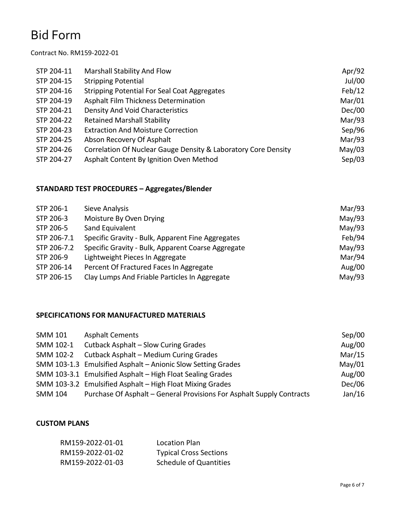#### Contract No. RM159-2022-01

| STP 204-11 | Marshall Stability And Flow                                    | Apr/92 |
|------------|----------------------------------------------------------------|--------|
| STP 204-15 | <b>Stripping Potential</b>                                     | Jul/00 |
| STP 204-16 | <b>Stripping Potential For Seal Coat Aggregates</b>            | Feb/12 |
| STP 204-19 | Asphalt Film Thickness Determination                           | Mar/01 |
| STP 204-21 | <b>Density And Void Characteristics</b>                        | Dec/00 |
| STP 204-22 | <b>Retained Marshall Stability</b>                             | Mar/93 |
| STP 204-23 | <b>Extraction And Moisture Correction</b>                      | Sep/96 |
| STP 204-25 | Abson Recovery Of Asphalt                                      | Mar/93 |
| STP 204-26 | Correlation Of Nuclear Gauge Density & Laboratory Core Density | May/03 |
| STP 204-27 | Asphalt Content By Ignition Oven Method                        | Sep/03 |

### STANDARD TEST PROCEDURES – Aggregates/Blender

| STP 206-1   | Sieve Analysis                                     | Mar/93    |
|-------------|----------------------------------------------------|-----------|
| STP 206-3   | Moisture By Oven Drying                            | May/93    |
| STP 206-5   | Sand Equivalent                                    | May/93    |
| STP 206-7.1 | Specific Gravity - Bulk, Apparent Fine Aggregates  | Feb/94    |
| STP 206-7.2 | Specific Gravity - Bulk, Apparent Coarse Aggregate | May/93    |
| STP 206-9   | Lightweight Pieces In Aggregate                    | Mar/94    |
| STP 206-14  | Percent Of Fractured Faces In Aggregate            | Aug/ $00$ |
| STP 206-15  | Clay Lumps And Friable Particles In Aggregate      | May/93    |

#### SPECIFICATIONS FOR MANUFACTURED MATERIALS

| SMM 101        | <b>Asphalt Cements</b>                                                | Sep/00 |
|----------------|-----------------------------------------------------------------------|--------|
| SMM 102-1      | Cutback Asphalt - Slow Curing Grades                                  | Aug/00 |
| SMM 102-2      | Cutback Asphalt - Medium Curing Grades                                | Mar/15 |
|                | SMM 103-1.3 Emulsified Asphalt - Anionic Slow Setting Grades          | May/01 |
|                | SMM 103-3.1 Emulsified Asphalt - High Float Sealing Grades            | Aug/00 |
|                | SMM 103-3.2 Emulsified Asphalt - High Float Mixing Grades             | Dec/06 |
| <b>SMM 104</b> | Purchase Of Asphalt – General Provisions For Asphalt Supply Contracts | Jan/16 |

#### CUSTOM PLANS

| RM159-2022-01-01 | Location Plan                 |
|------------------|-------------------------------|
| RM159-2022-01-02 | <b>Typical Cross Sections</b> |
| RM159-2022-01-03 | <b>Schedule of Quantities</b> |